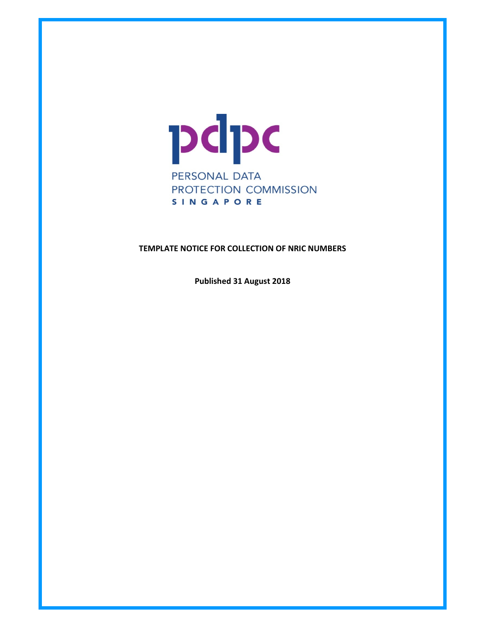

## TEMPLATE NOTICE FOR COLLECTION OF NRIC NUMBERS

Published 31 August 2018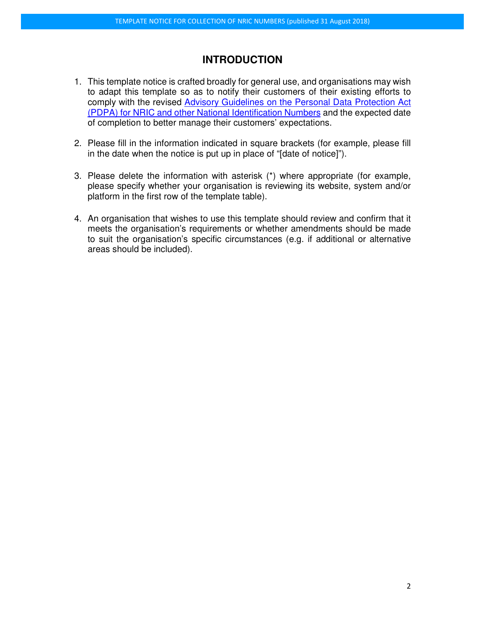## **INTRODUCTION**

- 1. This template notice is crafted broadly for general use, and organisations may wish to adapt this template so as to notify their customers of their existing efforts to comply with the revised Advisory Guidelines on the Personal Data Protection Act (PDPA) for NRIC and other National Identification Numbers and the expected date of completion to better manage their customers' expectations.
- 2. Please fill in the information indicated in square brackets (for example, please fill in the date when the notice is put up in place of "[date of notice]").
- 3. Please delete the information with asterisk (\*) where appropriate (for example, please specify whether your organisation is reviewing its website, system and/or platform in the first row of the template table).
- 4. An organisation that wishes to use this template should review and confirm that it meets the organisation's requirements or whether amendments should be made to suit the organisation's specific circumstances (e.g. if additional or alternative areas should be included).